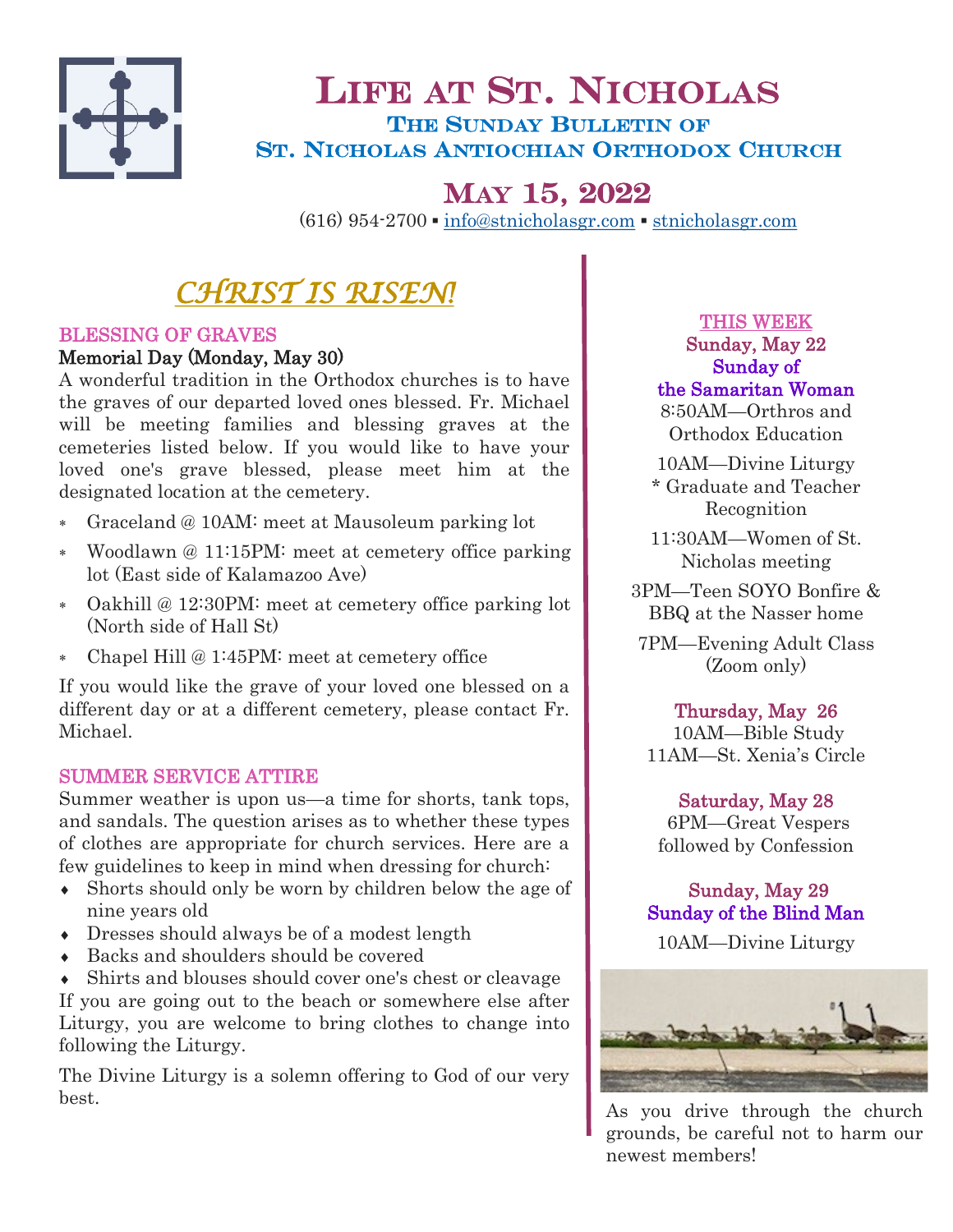

## LIFE AT ST. NICHOLAS THE SUNDAY BULLETIN OF ST. NICHOLAS ANTIOCHIAN ORTHODOX CHURCH

# MAY 15, 2022

(616) 954-2700 ▪ [info@stnicholasgr.com](mailto:info@stnicholasgr.com) ▪ <stnicholasgr.com>

# *CHRIST IS RISEN!*

## BLESSING OF GRAVES

## Memorial Day (Monday, May 30)

A wonderful tradition in the Orthodox churches is to have the graves of our departed loved ones blessed. Fr. Michael will be meeting families and blessing graves at the cemeteries listed below. If you would like to have your loved one's grave blessed, please meet him at the designated location at the cemetery.

- Graceland @ 10AM: meet at Mausoleum parking lot
- Woodlawn @ 11:15PM: meet at cemetery office parking lot (East side of Kalamazoo Ave)
- Oakhill @ 12:30PM: meet at cemetery office parking lot (North side of Hall St)
- Chapel Hill @ 1:45PM: meet at cemetery office

If you would like the grave of your loved one blessed on a different day or at a different cemetery, please contact Fr. Michael.

## SUMMER SERVICE ATTIRE

Summer weather is upon us—a time for shorts, tank tops, and sandals. The question arises as to whether these types of clothes are appropriate for church services. Here are a few guidelines to keep in mind when dressing for church:

- Shorts should only be worn by children below the age of nine years old
- Dresses should always be of a modest length
- Backs and shoulders should be covered

 Shirts and blouses should cover one's chest or cleavage If you are going out to the beach or somewhere else after Liturgy, you are welcome to bring clothes to change into following the Liturgy.

The Divine Liturgy is a solemn offering to God of our very best.

THIS WEEK Sunday, May 22 Sunday of the Samaritan Woman

8:50AM—Orthros and Orthodox Education

10AM—Divine Liturgy \* Graduate and Teacher Recognition

11:30AM—Women of St. Nicholas meeting

3PM—Teen SOYO Bonfire & BBQ at the Nasser home

7PM—Evening Adult Class (Zoom only)

## Thursday, May 26

 10AM—Bible Study 11AM—St. Xenia's Circle

## Saturday, May 28

6PM—Great Vespers followed by Confession

Sunday, May 29 Sunday of the Blind Man

10AM—Divine Liturgy



As you drive through the church grounds, be careful not to harm our newest members!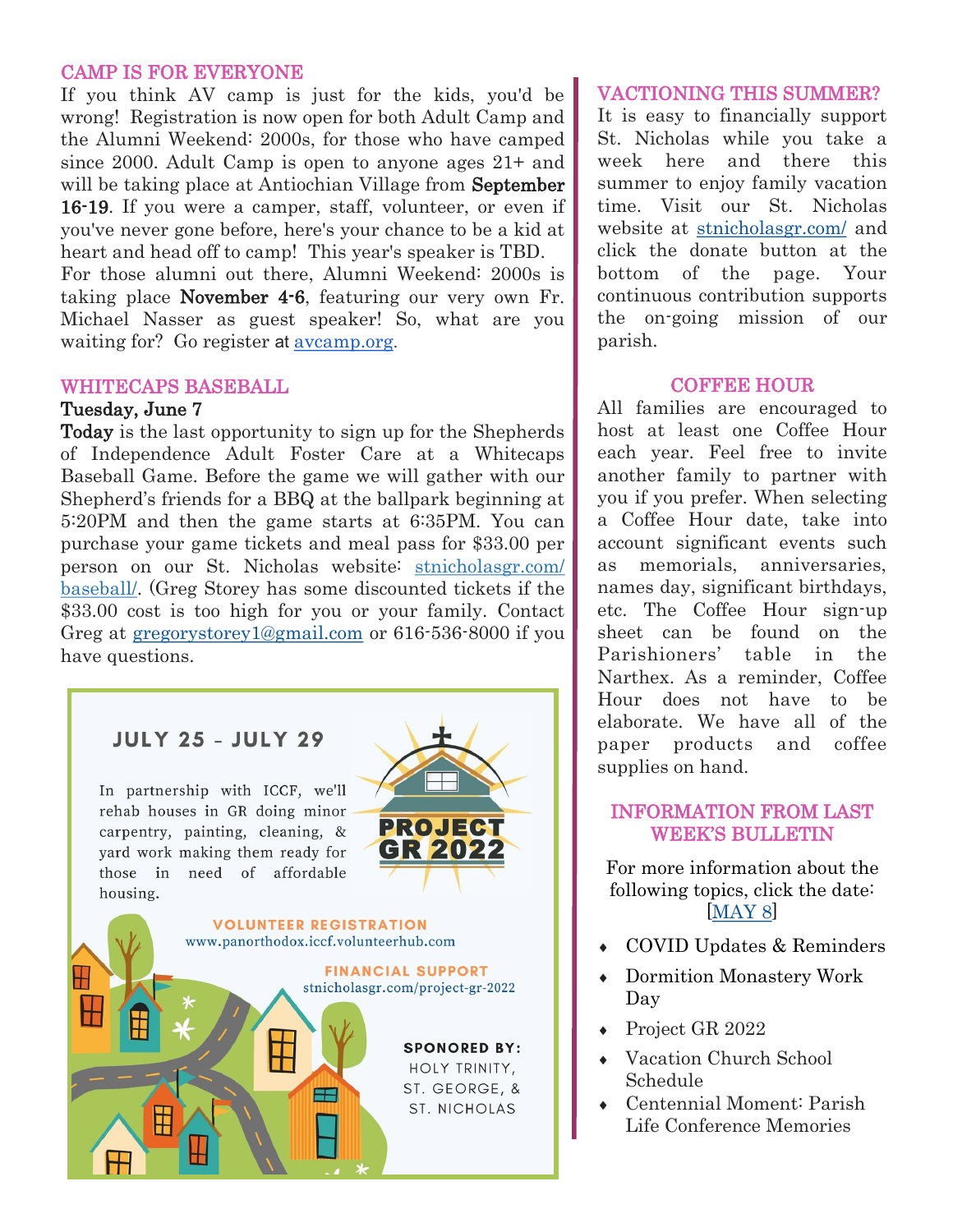#### CAMP IS FOR EVERYONE

If you think AV camp is just for the kids, you'd be wrong! Registration is now open for both Adult Camp and the Alumni Weekend: 2000s, for those who have camped since 2000. Adult Camp is open to anyone ages 21+ and will be taking place at Antiochian Village from **September** 16-19. If you were a camper, staff, volunteer, or even if you've never gone before, here's your chance to be a kid at heart and head off to camp! This year's speaker is TBD.

For those alumni out there, Alumni Weekend: 2000s is taking place November 4-6, featuring our very own Fr. Michael Nasser as guest speaker! So, what are you waiting for? Go register at [avcamp.org](https://avcamp.org/).

#### WHITECAPS BASEBALL

#### Tuesday, June 7

Today is the last opportunity to sign up for the Shepherds of Independence Adult Foster Care at a Whitecaps Baseball Game. Before the game we will gather with our Shepherd's friends for a BBQ at the ballpark beginning at 5:20PM and then the game starts at 6:35PM. You can purchase your game tickets and meal pass for \$33.00 per person on our St. Nicholas website: [stnicholasgr.com/](https://stnicholasgr.com/baseball/) [baseball/.](https://stnicholasgr.com/baseball/) (Greg Storey has some discounted tickets if the \$33.00 cost is too high for you or your family. Contact Greg at [gregorystorey1@gmail.com](mailto:gregorystorey1@gmail.com) or 616-536-8000 if you have questions.

> **VOLUNTEER REGISTRATION** www.panorthodox.iccf.volunteerhub.com

> > FEI

## **JULY 25 - JULY 29**

In partnership with ICCF, we'll rehab houses in GR doing minor carpentry, painting, cleaning, & yard work making them ready for those in need of affordable housing.



**FINANCIAL SUPPORT** stnicholasgr.com/project-gr-2022

> **SPONORED BY:** HOLY TRINITY, ST. GEORGE, &

**ST. NICHOLAS** 

#### VACTIONING THIS SUMMER?

It is easy to financially support St. Nicholas while you take a week here and there this summer to enjoy family vacation time. Visit ou[r St. Nicholas](https://stnicholasgr.com/)  [website](https://stnicholasgr.com/) at <stnicholasgr.com/> and click th[e donate button](https://stnicholasgr.com/parishioners/contributions/) at the bottom of the page. Your continuous contribution supports the on-going mission of our parish.

#### COFFEE HOUR

All families are encouraged to host at least one Coffee Hour each year. Feel free to invite another family to partner with you if you prefer. When selecting a Coffee Hour date, take into account significant events such as memorials, anniversaries, names day, significant birthdays, etc. The Coffee Hour sign-up sheet can be found on the Parishioners' table in the Narthex. As a reminder, Coffee Hour does not have to be elaborate. We have all of the paper products and coffee supplies on hand.

#### INFORMATION FROM LAST WEEK'S BULLETIN

For more information about the following topics, click the date: [[MAY 8\]](https://stnicholasgr.com/wp-content/uploads/2022/05/050822.pdf)

- COVID Updates & Reminders
- Dormition Monastery Work Day
- ◆ Project GR 2022
- Vacation Church School Schedule
- Centennial Moment: Parish Life Conference Memories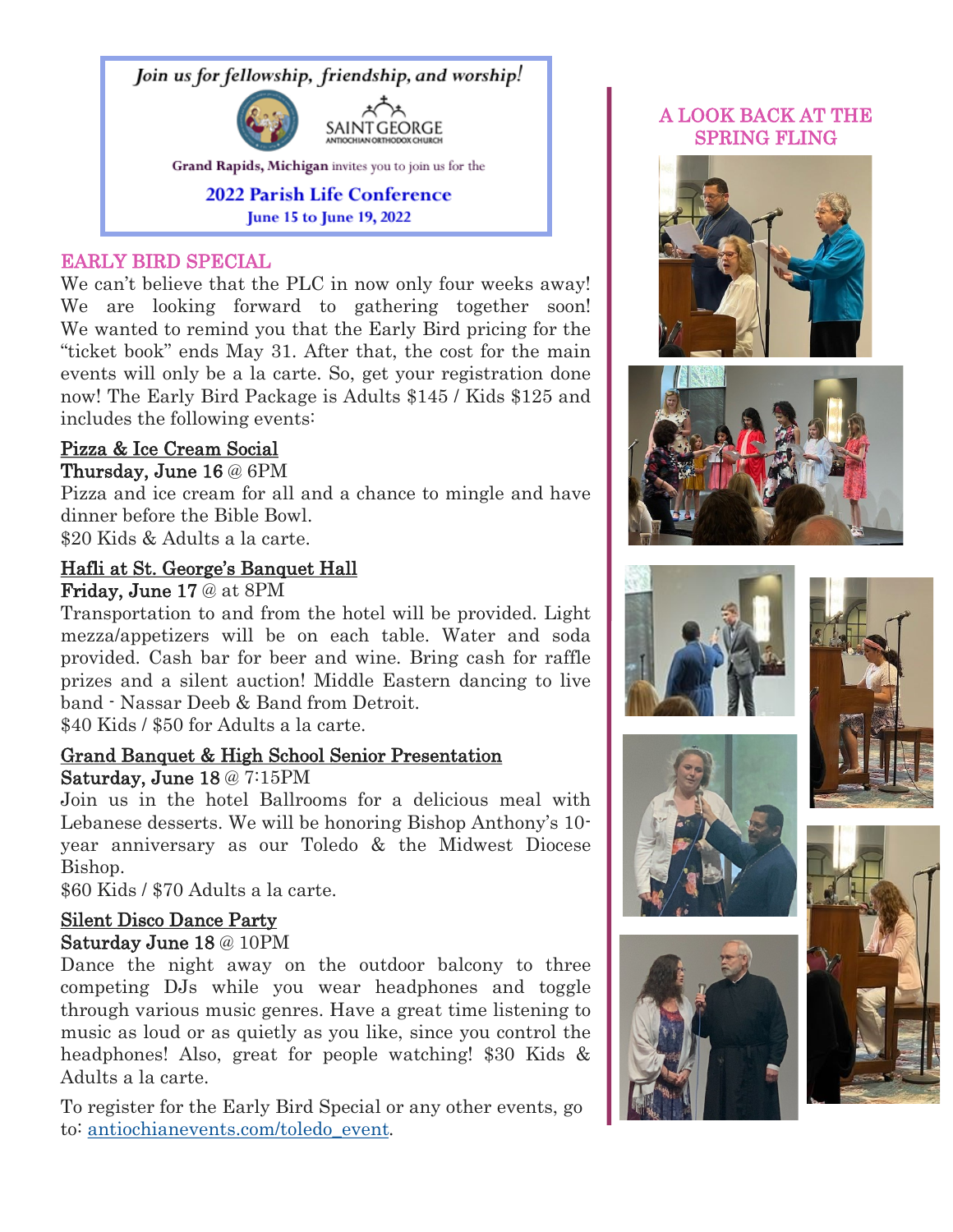

## EARLY BIRD SPECIAL

We can't believe that the PLC in now only four weeks away! We are looking forward to gathering together soon! We wanted to remind you that the Early Bird pricing for the "ticket book" ends May 31. After that, the cost for the main events will only be a la carte. So, get your registration done now! The Early Bird Package is Adults \$145 / Kids \$125 and includes the following events:

## Pizza & Ice Cream Social

#### Thursday, June 16 @ 6PM

Pizza and ice cream for all and a chance to mingle and have dinner before the Bible Bowl.

\$20 Kids & Adults a la carte.

#### Hafli at St. George's Banquet Hall

Friday, June 17 @ at 8PM

Transportation to and from the hotel will be provided. Light mezza/appetizers will be on each table. Water and soda provided. Cash bar for beer and wine. Bring cash for raffle prizes and a silent auction! Middle Eastern dancing to live band - Nassar Deeb & Band from Detroit.

\$40 Kids / \$50 for Adults a la carte.

## Grand Banquet & High School Senior Presentation

## Saturday, June 18 @ 7:15PM

Join us in the hotel Ballrooms for a delicious meal with Lebanese desserts. We will be honoring Bishop Anthony's 10 year anniversary as our Toledo & the Midwest Diocese Bishop.

\$60 Kids / \$70 Adults a la carte.

## Silent Disco Dance Party

## Saturday June 18 @ 10PM

Dance the night away on the outdoor balcony to three competing DJs while you wear headphones and toggle through various music genres. Have a great time listening to music as loud or as quietly as you like, since you control the headphones! Also, great for people watching! \$30 Kids & Adults a la carte.

To register for the Early Bird Special or any other events, go to: [antiochianevents.com/toledo\\_event.](https://antiochianevents.com/toledo_event)

## A LOOK BACK AT THE SPRING FLING